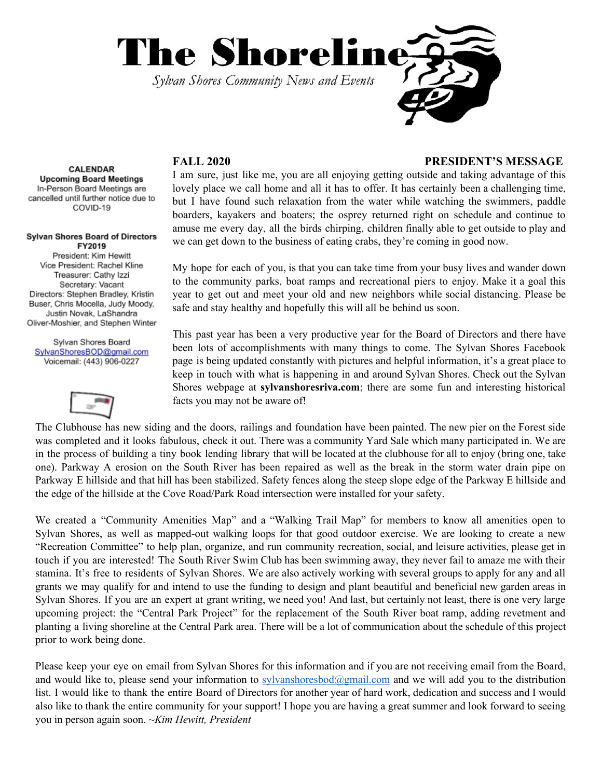

### **FALL 2020 PRESIDENT'S MESSAGE**

I am sure, just like me, you are all enjoying getting outside and taking advantage of this lovely place we call home and all it has to offer. It has certainly been a challenging time, but I have found such relaxation from the water while watching the swimmers, paddle boarders, kayakers and boaters; the osprey returned right on schedule and continue to amuse me every day, all the birds chirping, children finally able to get outside to play and we can get down to the business of eating crabs, they're coming in good now.

My hope for each of you, is that you can take time from your busy lives and wander down to the community parks, boat ramps and recreational piers to enjoy. Make it a goal this year to get out and meet your old and new neighbors while social distancing. Please be safe and stay healthy and hopefully this will all be behind us soon.

This past year has been a very productive year for the Board of Directors and there have been lots of accomplishments with many things to come. The Sylvan Shores Facebook page is being updated constantly with pictures and helpful information, it's a great place to keep in touch with what is happening in and around Sylvan Shores. Check out the Sylvan Shores webpage at **sylvanshoresriva.com**; there are some fun and interesting historical facts you may not be aware of!

The Clubhouse has new siding and the doors, railings and foundation have been painted. The new pier on the Forest side was completed and it looks fabulous, check it out. There was a community Yard Sale which many participated in. We are in the process of building a tiny book lending library that will be located at the clubhouse for all to enjoy (bring one, take one). Parkway A erosion on the South River has been repaired as well as the break in the storm water drain pipe on Parkway E hillside and that hill has been stabilized. Safety fences along the steep slope edge of the Parkway E hillside and the edge of the hillside at the Cove Road/Park Road intersection were installed for your safety.

We created a "Community Amenities Map" and a "Walking Trail Map" for members to know all amenities open to Sylvan Shores, as well as mapped-out walking loops for that good outdoor exercise. We are looking to create a new "Recreation Committee" to help plan, organize, and run community recreation, social, and leisure activities, please get in touch if you are interested! The South River Swim Club has been swimming away, they never fail to amaze me with their stamina. It's free to residents of Sylvan Shores. We are also actively working with several groups to apply for any and all grants we may qualify for and intend to use the funding to design and plant beautiful and beneficial new garden areas in Sylvan Shores. If you are an expert at grant writing, we need you! And last, but certainly not least, there is one very large upcoming project: the "Central Park Project" for the replacement of the South River boat ramp, adding revetment and planting a living shoreline at the Central Park area. There will be a lot of communication about the schedule of this project prior to work being done.

Please keep your eye on email from Sylvan Shores for this information and if you are not receiving email from the Board, and would like to, please send your information to [sylvanshoresbod@gmail.com](mailto:sylvanshoresbod@gmail.com) and we will add you to the distribution list. I would like to thank the entire Board of Directors for another year of hard work, dedication and success and I would also like to thank the entire community for your support! I hope you are having a great summer and look forward to seeing you in person again soon. *~Kim Hewitt, President*

**CALENDAR Upcoming Board Meetings** In-Person Board Meetings are cancelled until further notice due to COVID-19

#### **Sylvan Shores Board of Directors** FY2019

President: Kim Hewitt Vice President: Rachel Kline Treasurer: Cathy Izzi Secretary: Vacant Directors: Stephen Bradley, Kristin Buser, Chris Mocella, Judy Moody, Justin Novak, LaShandra Oliver-Moshier, and Stephen Winter

Sylvan Shores Board SylvanShoresBOD@gmail.com Voicemail: (443) 906-0227

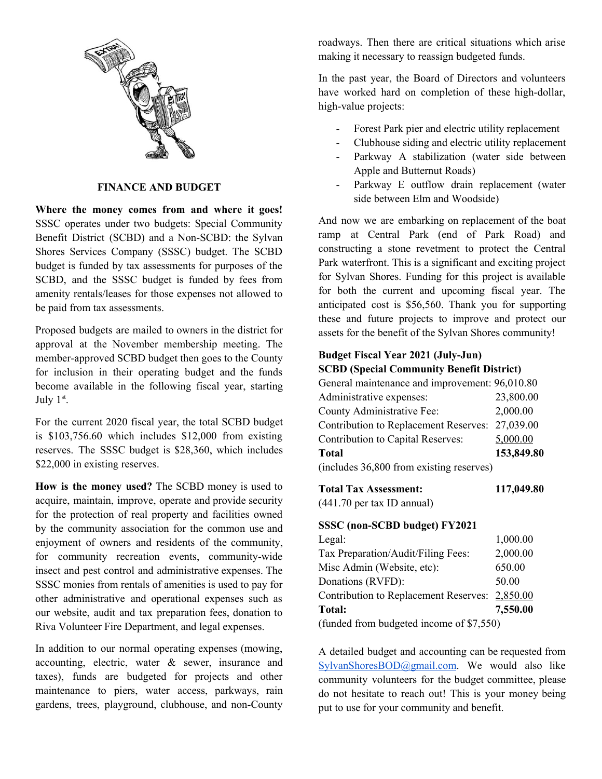

# **FINANCE AND BUDGET**

**Where the money comes from and where it goes!** SSSC operates under two budgets: Special Community Benefit District (SCBD) and a Non-SCBD: the Sylvan Shores Services Company (SSSC) budget. The SCBD budget is funded by tax assessments for purposes of the SCBD, and the SSSC budget is funded by fees from amenity rentals/leases for those expenses not allowed to be paid from tax assessments.

Proposed budgets are mailed to owners in the district for approval at the November membership meeting. The member-approved SCBD budget then goes to the County for inclusion in their operating budget and the funds become available in the following fiscal year, starting July  $1<sup>st</sup>$ .

For the current 2020 fiscal year, the total SCBD budget is \$103,756.60 which includes \$12,000 from existing reserves. The SSSC budget is \$28,360, which includes \$22,000 in existing reserves.

**How is the money used?** The SCBD money is used to acquire, maintain, improve, operate and provide security for the protection of real property and facilities owned by the community association for the common use and enjoyment of owners and residents of the community, for community recreation events, community-wide insect and pest control and administrative expenses. The SSSC monies from rentals of amenities is used to pay for other administrative and operational expenses such as our website, audit and tax preparation fees, donation to Riva Volunteer Fire Department, and legal expenses.

In addition to our normal operating expenses (mowing, accounting, electric, water & sewer, insurance and taxes), funds are budgeted for projects and other maintenance to piers, water access, parkways, rain gardens, trees, playground, clubhouse, and non-County roadways. Then there are critical situations which arise making it necessary to reassign budgeted funds.

In the past year, the Board of Directors and volunteers have worked hard on completion of these high-dollar, high-value projects:

- Forest Park pier and electric utility replacement
- Clubhouse siding and electric utility replacement
- Parkway A stabilization (water side between Apple and Butternut Roads)
- Parkway E outflow drain replacement (water side between Elm and Woodside)

And now we are embarking on replacement of the boat ramp at Central Park (end of Park Road) and constructing a stone revetment to protect the Central Park waterfront. This is a significant and exciting project for Sylvan Shores. Funding for this project is available for both the current and upcoming fiscal year. The anticipated cost is \$56,560. Thank you for supporting these and future projects to improve and protect our assets for the benefit of the Sylvan Shores community!

## **Budget Fiscal Year 2021 (July-Jun) SCBD (Special Community Benefit District)**

| General maintenance and improvement: 96,010.80  |            |
|-------------------------------------------------|------------|
| Administrative expenses:                        | 23,800.00  |
| County Administrative Fee:                      | 2,000.00   |
| Contribution to Replacement Reserves: 27,039.00 |            |
| Contribution to Capital Reserves:               | 5,000.00   |
| <b>Total</b>                                    | 153,849.80 |
| (includes 36,800 from existing reserves)        |            |
|                                                 |            |

| <b>Total Tax Assessment:</b> | 117,049.80 |
|------------------------------|------------|
|------------------------------|------------|

(441.70 per tax ID annual)

#### **SSSC (non-SCBD budget) FY2021**

| Legal:                                         | 1,000.00 |  |
|------------------------------------------------|----------|--|
| Tax Preparation/Audit/Filing Fees:             | 2,000.00 |  |
| Misc Admin (Website, etc):                     | 650.00   |  |
| Donations (RVFD):                              | 50.00    |  |
| Contribution to Replacement Reserves: 2,850.00 |          |  |
| <b>Total:</b>                                  | 7,550.00 |  |
| (funded from budgeted income of \$7,550)       |          |  |

A detailed budget and accounting can be requested from [SylvanShoresBOD@gmail.com](mailto:SylvanShoresBOD@gmail.com). We would also like community volunteers for the budget committee, please do not hesitate to reach out! This is your money being put to use for your community and benefit.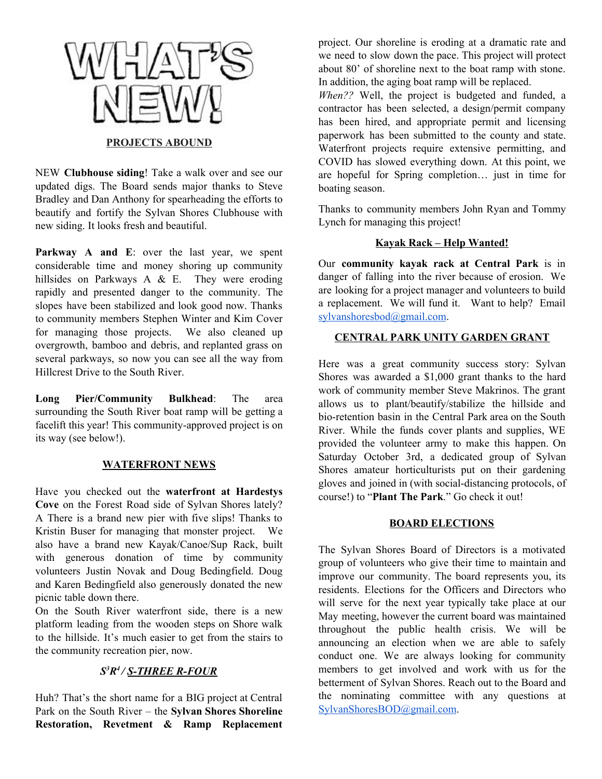

NEW **Clubhouse siding**! Take a walk over and see our updated digs. The Board sends major thanks to Steve Bradley and Dan Anthony for spearheading the efforts to beautify and fortify the Sylvan Shores Clubhouse with new siding. It looks fresh and beautiful.

**Parkway A and E**: over the last year, we spent considerable time and money shoring up community hillsides on Parkways A & E. They were eroding rapidly and presented danger to the community. The slopes have been stabilized and look good now. Thanks to community members Stephen Winter and Kim Cover for managing those projects. We also cleaned up overgrowth, bamboo and debris, and replanted grass on several parkways, so now you can see all the way from Hillcrest Drive to the South River.

**Long Pier/Community Bulkhead**: The area surrounding the South River boat ramp will be getting a facelift this year! This community-approved project is on its way (see below!).

# **WATERFRONT NEWS**

Have you checked out the **waterfront at Hardestys Cove** on the Forest Road side of Sylvan Shores lately? A There is a brand new pier with five slips! Thanks to Kristin Buser for managing that monster project. We also have a brand new Kayak/Canoe/Sup Rack, built with generous donation of time by community volunteers Justin Novak and Doug Bedingfield. Doug and Karen Bedingfield also generously donated the new picnic table down there.

On the South River waterfront side, there is a new platform leading from the wooden steps on Shore walk to the hillside. It's much easier to get from the stairs to the community recreation pier, now.

# *S <sup>3</sup>R 4 / S-THREE R-FOUR*

Huh? That's the short name for a BIG project at Central Park on the South River – the **Sylvan Shores Shoreline Restoration, Revetment & Ramp Replacement** project. Our shoreline is eroding at a dramatic rate and we need to slow down the pace. This project will protect about 80' of shoreline next to the boat ramp with stone. In addition, the aging boat ramp will be replaced.

*When??* Well, the project is budgeted and funded, a contractor has been selected, a design/permit company has been hired, and appropriate permit and licensing paperwork has been submitted to the county and state. Waterfront projects require extensive permitting, and COVID has slowed everything down. At this point, we are hopeful for Spring completion… just in time for boating season.

Thanks to community members John Ryan and Tommy Lynch for managing this project!

### **Kayak Rack – Help Wanted!**

Our **community kayak rack at Central Park** is in danger of falling into the river because of erosion. We are looking for a project manager and volunteers to build a replacement. We will fund it. Want to help? Email [sylvanshoresbod@gmail.com](mailto:sylvanshoresbod@gmail.com).

### **CENTRAL PARK UNITY GARDEN GRANT**

Here was a great community success story: Sylvan Shores was awarded a \$1,000 grant thanks to the hard work of community member Steve Makrinos. The grant allows us to plant/beautify/stabilize the hillside and bio-retention basin in the Central Park area on the South River. While the funds cover plants and supplies, WE provided the volunteer army to make this happen. On Saturday October 3rd, a dedicated group of Sylvan Shores amateur horticulturists put on their gardening gloves and joined in (with social-distancing protocols, of course!) to "**Plant The Park**." Go check it out!

#### **BOARD ELECTIONS**

The Sylvan Shores Board of Directors is a motivated group of volunteers who give their time to maintain and improve our community. The board represents you, its residents. Elections for the Officers and Directors who will serve for the next year typically take place at our May meeting, however the current board was maintained throughout the public health crisis. We will be announcing an election when we are able to safely conduct one. We are always looking for community members to get involved and work with us for the betterment of Sylvan Shores. Reach out to the Board and the nominating committee with any questions at [SylvanShoresBOD@gmail.com](mailto:SylvanShoresBOD@gmail.com).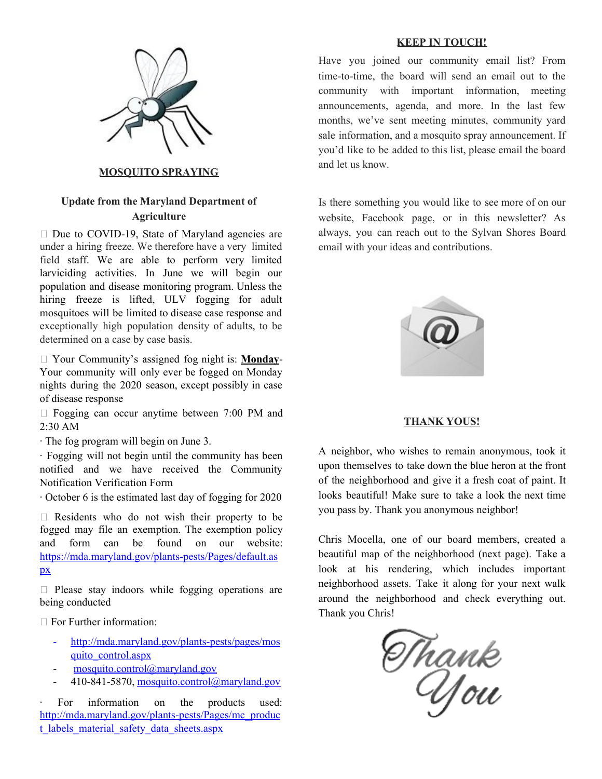

### **MOSQUITO SPRAYING**

# **Update from the Maryland Department of Agriculture**

 $\Box$  Due to COVID-19, State of Maryland agencies are under a hiring freeze. We therefore have a very limited field staff. We are able to perform very limited larviciding activities. In June we will begin our population and disease monitoring program. Unless the hiring freeze is lifted, ULV fogging for adult mosquitoes will be limited to disease case response and exceptionally high population density of adults, to be determined on a case by case basis.

 Your Community's assigned fog night is: **Monday**-Your community will only ever be fogged on Monday nights during the 2020 season, except possibly in case of disease response

 $\Box$  Fogging can occur anytime between 7:00 PM and 2:30 AM

· The fog program will begin on June 3.

· Fogging will not begin until the community has been notified and we have received the Community Notification Verification Form

· October 6 is the estimated last day of fogging for 2020

 $\Box$  Residents who do not wish their property to be fogged may file an exemption. The exemption policy and form can be found on our website: https://mda.maryland.gov/plants-pests/Pages/default.as px

 $\Box$  Please stay indoors while fogging operations are being conducted

□ For Further information:

- http://mda.maryland.gov/plants-pests/pages/mos quito\_control.aspx
- $m$ osquito.control@maryland.gov
- 410-841-5870, mosquito.control@maryland.gov

For information on the products used: http://mda.maryland.gov/plants-pests/Pages/mc\_produc t\_labels\_material\_safety\_data\_sheets.aspx

#### **KEEP IN TOUCH!**

Have you joined our community email list? From time-to-time, the board will send an email out to the community with important information, meeting announcements, agenda, and more. In the last few months, we've sent meeting minutes, community yard sale information, and a mosquito spray announcement. If you'd like to be added to this list, please email the board and let us know.

Is there something you would like to see more of on our website, Facebook page, or in this newsletter? As always, you can reach out to the Sylvan Shores Board email with your ideas and contributions.



#### **THANK YOUS!**

A neighbor, who wishes to remain anonymous, took it upon themselves to take down the blue heron at the front of the neighborhood and give it a fresh coat of paint. It looks beautiful! Make sure to take a look the next time you pass by. Thank you anonymous neighbor!

Chris Mocella, one of our board members, created a beautiful map of the neighborhood (next page). Take a look at his rendering, which includes important neighborhood assets. Take it along for your next walk around the neighborhood and check everything out. Thank you Chris!

Thank<br>You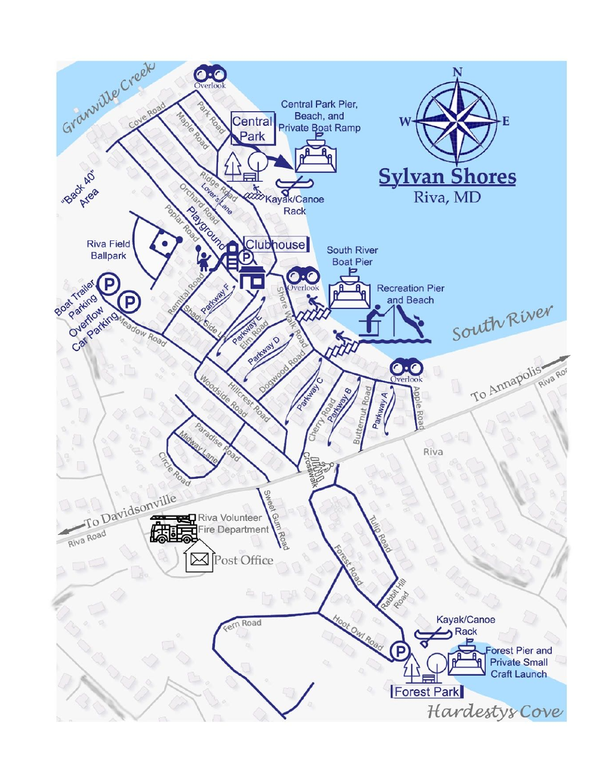